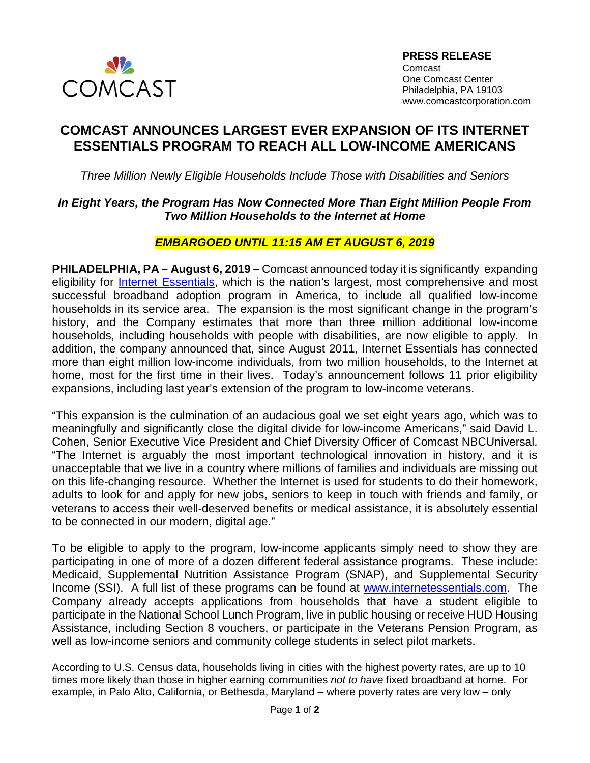

**PRESS RELEASE** Comcast One Comcast Center Philadelphia, PA 19103 www.comcastcorporation.com

## **COMCAST ANNOUNCES LARGEST EVER EXPANSION OF ITS INTERNET ESSENTIALS PROGRAM TO REACH ALL LOW-INCOME AMERICANS**

*Three Million Newly Eligible Households Include Those with Disabilities and Seniors*

## *In Eight Years, the Program Has Now Connected More Than Eight Million People From Two Million Households to the Internet at Home*

## *EMBARGOED UNTIL 11:15 AM ET AUGUST 6, 2019*

**PHILADELPHIA, PA – August 6, 2019 –** Comcast announced today it is significantly expanding eligibility for [Internet Essentials,](https://www.internetessentials.com/?utm_source=Google&utm_campaign=IEHSI&utm_medium=Search&utm_content=IEHSI&gclid=CKjrtOrwwdwCFUqYswodH9MNFw&gclsrc=ds) which is the nation's largest, most comprehensive and most successful broadband adoption program in America, to include all qualified low-income households in its service area. The expansion is the most significant change in the program's history, and the Company estimates that more than three million additional low-income households, including households with people with disabilities, are now eligible to apply. In addition, the company announced that, since August 2011, Internet Essentials has connected more than eight million low-income individuals, from two million households, to the Internet at home, most for the first time in their lives. Today's announcement follows 11 prior eligibility expansions, including last year's extension of the program to low-income veterans.

"This expansion is the culmination of an audacious goal we set eight years ago, which was to meaningfully and significantly close the digital divide for low-income Americans," said David L. Cohen, Senior Executive Vice President and Chief Diversity Officer of Comcast NBCUniversal. "The Internet is arguably the most important technological innovation in history, and it is unacceptable that we live in a country where millions of families and individuals are missing out on this life-changing resource. Whether the Internet is used for students to do their homework, adults to look for and apply for new jobs, seniors to keep in touch with friends and family, or veterans to access their well-deserved benefits or medical assistance, it is absolutely essential to be connected in our modern, digital age."

To be eligible to apply to the program, low-income applicants simply need to show they are participating in one of more of a dozen different federal assistance programs. These include: Medicaid, Supplemental Nutrition Assistance Program (SNAP), and Supplemental Security Income (SSI). A full list of these programs can be found at [www.internetessentials.com.](http://www.internetessentials.com/) The Company already accepts applications from households that have a student eligible to participate in the National School Lunch Program, live in public housing or receive HUD Housing Assistance, including Section 8 vouchers, or participate in the Veterans Pension Program, as well as low-income seniors and community college students in select pilot markets.

According to U.S. Census data, households living in cities with the highest poverty rates, are up to 10 times more likely than those in higher earning communities *not to have* fixed broadband at home. For example, in Palo Alto, California, or Bethesda, Maryland – where poverty rates are very low – only